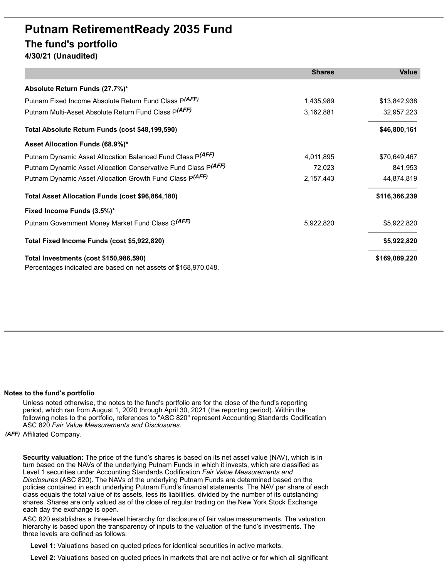## **Putnam RetirementReady 2035 Fund The fund's portfolio 4/30/21 (Unaudited)**

**Shares Value Absolute Return Funds (27.7%)\*** Putnam Fixed Income Absolute Return Fund Class P(AFF) *(AFF)* 1,435,989 \$13,842,938 Putnam Multi-Asset Absolute Return Fund Class P(AFF) *(AFF)* 3,162,881 32,957,223 **Total Absolute Return Funds (cost \$48,199,590) \$46,800,161 Asset Allocation Funds (68.9%)\*** Putnam Dynamic Asset Allocation Balanced Fund Class P<sup>(AFF)</sup> *(AFF)* 4,011,895 \$70,649,467 Putnam Dynamic Asset Allocation Conservative Fund Class P(AFF) *(AFF)* 72,023 841,953 Putnam Dynamic Asset Allocation Growth Fund Class P(AFF) *(AFF)* 2,157,443 44,874,819 **Total Asset Allocation Funds (cost \$96,864,180) \$116,366,239 Fixed Income Funds (3.5%)\*** Putnam Government Money Market Fund Class G<sup>(AFF)</sup> 5,922,820 5,922,820 \$5,922,820 **Total Fixed Income Funds (cost \$5,922,820) \$5,922,820 Total Investments (cost \$150,986,590) \$169,089,220** Percentages indicated are based on net assets of \$168,970,048.

## **Notes to the fund's portfolio**

Unless noted otherwise, the notes to the fund's portfolio are for the close of the fund's reporting period, which ran from August 1, 2020 through April 30, 2021 (the reporting period). Within the following notes to the portfolio, references to "ASC 820" represent Accounting Standards Codification ASC 820 *Fair Value Measurements and Disclosures*.

*(AFF)* Affiliated Company.

**Security valuation:** The price of the fund's shares is based on its net asset value (NAV), which is in turn based on the NAVs of the underlying Putnam Funds in which it invests, which are classified as Level 1 securities under Accounting Standards Codification *Fair Value Measurements and Disclosures* (ASC 820). The NAVs of the underlying Putnam Funds are determined based on the policies contained in each underlying Putnam Fund's financial statements. The NAV per share of each class equals the total value of its assets, less its liabilities, divided by the number of its outstanding shares. Shares are only valued as of the close of regular trading on the New York Stock Exchange each day the exchange is open.

ASC 820 establishes a three-level hierarchy for disclosure of fair value measurements. The valuation hierarchy is based upon the transparency of inputs to the valuation of the fund's investments. The three levels are defined as follows:

**Level 1:** Valuations based on quoted prices for identical securities in active markets.

**Level 2:** Valuations based on quoted prices in markets that are not active or for which all significant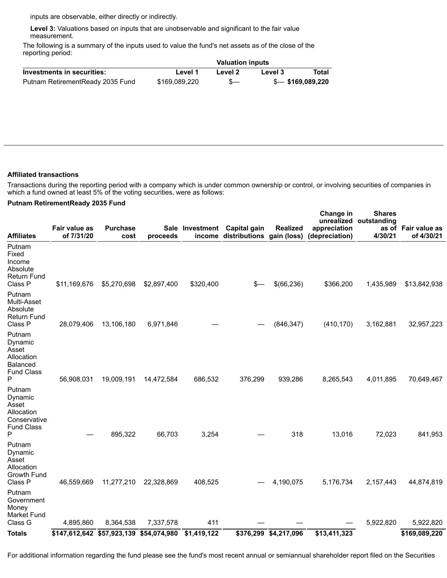inputs are observable, either directly or indirectly.

**Level 3:** Valuations based on inputs that are unobservable and significant to the fair value measurement.

The following is a summary of the inputs used to value the fund's net assets as of the close of the reporting period:

|                                   | <b>Valuation inputs</b> |         |         |                   |  |
|-----------------------------------|-------------------------|---------|---------|-------------------|--|
| Investments in securities:        | Level 1                 | Level 2 | Level 3 | Total             |  |
| Putnam Retirement Ready 2035 Fund | \$169.089.220           | $s-$    |         | \$— \$169,089,220 |  |

## **Affiliated transactions**

Transactions during the reporting period with a company which is under common ownership or control, or involving securities of companies in which a fund owned at least 5% of the voting securities, were as follows:

**Change in**

**Shares**

## **Putnam RetirementReady 2035 Fund**

| Affiliates                                                                         | Fair value as<br>of 7/31/20             | <b>Purchase</b><br>cost | proceeds    | income      | Sale Investment Capital gain<br>distributions | <b>Realized</b><br>gain (loss) | <b>Change</b> in<br>appreciation<br>(depreciation) | <b>Shares</b><br>unrealized outstanding<br>4/30/21 | as of Fair value as<br>of 4/30/21 |
|------------------------------------------------------------------------------------|-----------------------------------------|-------------------------|-------------|-------------|-----------------------------------------------|--------------------------------|----------------------------------------------------|----------------------------------------------------|-----------------------------------|
| Putnam<br>Fixed<br>Income<br>Absolute<br>Return Fund<br>Class P                    | \$11,169,676                            | \$5,270,698             | \$2,897,400 | \$320,400   | s—                                            | \$(66,236)                     | \$366,200                                          | 1,435,989                                          | \$13,842,938                      |
| Putnam<br>Multi-Asset<br>Absolute<br>Return Fund<br>Class P                        | 28,079,406                              | 13,106,180              | 6,971,846   |             |                                               | (846, 347)                     | (410, 170)                                         | 3,162,881                                          | 32,957,223                        |
| Putnam<br>Dynamic<br>Asset<br>Allocation<br>Balanced<br><b>Fund Class</b><br>Ρ     | 56,908,031                              | 19,009,191              | 14,472,584  | 686,532     | 376,299                                       | 939,286                        | 8,265,543                                          | 4,011,895                                          | 70,649,467                        |
| Putnam<br>Dynamic<br>Asset<br>Allocation<br>Conservative<br><b>Fund Class</b><br>Ρ |                                         | 895,322                 | 66,703      | 3,254       |                                               | 318                            | 13,016                                             | 72,023                                             | 841,953                           |
| Putnam<br>Dynamic<br>Asset<br>Allocation<br>Growth Fund<br>Class P                 | 46,559,669                              | 11,277,210              | 22,328,869  | 408,525     |                                               | 4,190,075                      | 5,176,734                                          | 2, 157, 443                                        | 44,874,819                        |
| Putnam<br>Government<br>Money<br>Market Fund<br>Class G                            | 4,895,860                               | 8,364,538               | 7,337,578   | 411         |                                               |                                |                                                    | 5,922,820                                          | 5,922,820                         |
| <b>Totals</b>                                                                      | \$147,612,642 \$57,923,139 \$54,074,980 |                         |             | \$1,419,122 |                                               | \$376,299 \$4,217,096          | \$13,411,323                                       |                                                    | \$169,089,220                     |
|                                                                                    |                                         |                         |             |             |                                               |                                |                                                    |                                                    |                                   |

For additional information regarding the fund please see the fund's most recent annual or semiannual shareholder report filed on the Securities